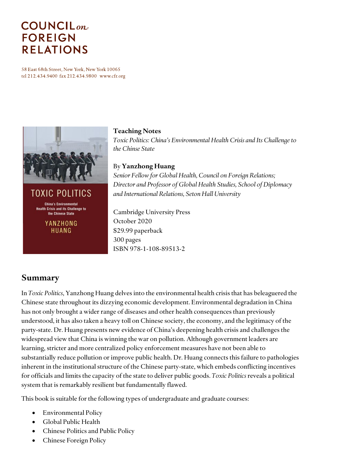# **COUNCIL**<sub>on</sub> **FOREIGN RELATIONS**

58 East 68th Street, New York, New York 10065 tel 212.434.9400 fax 212.434.9800 www.cfr.org



TOXIC POLITICS **China's Environmental Health Crisis and its Challenge to** the Chinese State

> YANZHONG HUANG

#### **Teaching Notes**

*Toxic Politics: China's Environmental Health Crisis and Its Challenge to the Chinse State*

#### By **Yanzhong Huang**

*Senior Fellow for Global Health, Council on Foreign Relations; Director and Professor of Global Health Studies, School of Diplomacy and International Relations, Seton Hall University*

Cambridge University Press October 2020 \$29.99 paperback 300 pages ISBN 978-1-108-89513-2

## **Summary**

In *Toxic Politics*, Yanzhong Huang delves into the environmental health crisis that has beleaguered the Chinese state throughout its dizzying economic development. Environmental degradation in China has not only brought a wider range of diseases and other health consequences than previously understood, it has also taken a heavy toll on Chinese society, the economy, and the legitimacy of the party-state. Dr. Huang presents new evidence of China's deepening health crisis and challenges the widespread view that China is winning the war on pollution. Although government leaders are learning, stricter and more centralized policy enforcement measures have not been able to substantially reduce pollution or improve public health. Dr. Huang connects this failure to pathologies inherent in the institutional structure of the Chinese party-state, which embeds conflicting incentives for officials and limits the capacity of the state to deliver public goods. *Toxic Politics*reveals a political system that is remarkably resilient but fundamentally flawed.

This book is suitable for the following types of undergraduate and graduate courses:

- Environmental Policy
- Global Public Health
- Chinese Politics and Public Policy
- Chinese Foreign Policy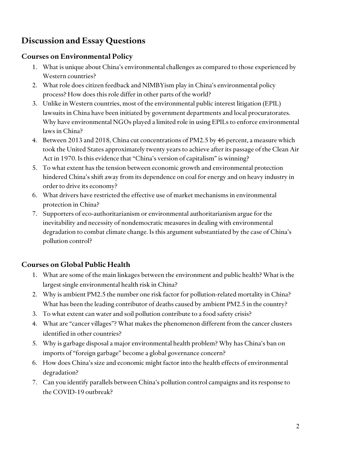# **Discussion and Essay Questions**

#### **Courses on Environmental Policy**

- 1. What is unique about China's environmental challenges as compared to those experienced by Western countries?
- 2. What role does citizen feedback and NIMBYism play in China's environmental policy process? How does this role differ in other parts of the world?
- 3. Unlike in Western countries, most of the environmental public interest litigation (EPIL) lawsuits in China have been initiated by government departments and local procuratorates. Why have environmental NGOs played a limited role in using EPILs to enforce environmental laws in China?
- 4. Between 2013 and 2018, China cut concentrations of PM2.5 by 46 percent, a measure which took the United States approximately twenty years to achieve after its passage of the Clean Air Act in 1970. Is this evidence that "China's version of capitalism" is winning?
- 5. To what extent has the tension between economic growth and environmental protection hindered China's shift away from its dependence on coal for energy and on heavy industry in order to drive its economy?
- 6. What drivers have restricted the effective use of market mechanisms in environmental protection in China?
- 7. Supporters of eco-authoritarianism or environmental authoritarianism argue for the inevitability and necessity of nondemocratic measures in dealing with environmental degradation to combat climate change. Is this argument substantiated by the case of China's pollution control?

#### **Courses on Global Public Health**

- 1. What are some of the main linkages between the environment and public health? What is the largest single environmental health risk in China?
- 2. Why is ambient PM2.5 the number one risk factor for pollution-related mortality in China? What has been the leading contributor of deaths caused by ambient PM2.5 in the country?
- 3. To what extent can water and soil pollution contribute to a food safety crisis?
- 4. What are "cancer villages"? What makes the phenomenon different from the cancer clusters identified in other countries?
- 5. Why is garbage disposal a major environmental health problem? Why has China's ban on imports of "foreign garbage" become a global governance concern?
- 6. How does China's size and economic might factor into the health effects of environmental degradation?
- 7. Can you identify parallels between China's pollution control campaigns and its response to the COVID-19 outbreak?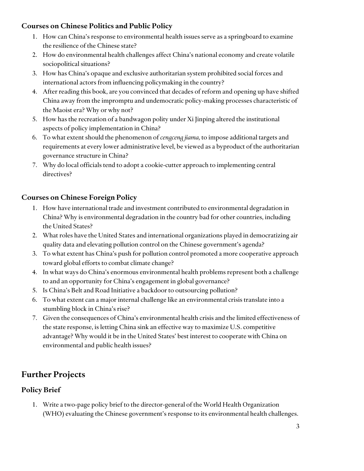### **Courses on Chinese Politics and Public Policy**

- 1. How can China's response to environmental health issues serve as a springboard to examine the resilience of the Chinese state?
- 2. How do environmental health challenges affect China's national economy and create volatile sociopolitical situations?
- 3. How has China's opaque and exclusive authoritarian system prohibited social forces and international actors from influencing policymaking in the country?
- 4. After reading this book, are you convinced that decades of reform and opening up have shifted China away from the impromptu and undemocratic policy-making processes characteristic of the Maoist era? Why or why not?
- 5. How has the recreation of a bandwagon polity under Xi Jinping altered the institutional aspects of policy implementation in China?
- 6. To what extent should the phenomenon of *cengceng jiama,* to impose additional targets and requirements at every lower administrative level, be viewed as a byproduct of the authoritarian governance structure in China?
- 7. Why do local officials tend to adopt a cookie-cutter approach to implementing central directives?

## **Courses on Chinese Foreign Policy**

- 1. How have international trade and investment contributed to environmental degradation in China? Why is environmental degradation in the country bad for other countries, including the United States?
- 2. What roles have the United States and international organizations played in democratizing air quality data and elevating pollution control on the Chinese government's agenda?
- 3. To what extent has China's push for pollution control promoted a more cooperative approach toward global efforts to combat climate change?
- 4. In what ways do China's enormous environmental health problems represent both a challenge to and an opportunity for China's engagement in global governance?
- 5. Is China's Belt and Road Initiative a backdoor to outsourcing pollution?
- 6. To what extent can a major internal challenge like an environmental crisis translate into a stumbling block in China's rise?
- 7. Given the consequences of China's environmental health crisis and the limited effectiveness of the state response, is letting China sink an effective way to maximize U.S. competitive advantage? Why would it be in the United States' best interest to cooperate with China on environmental and public health issues?

# **Further Projects**

## **Policy Brief**

1. Write a two-page policy brief to the director-general of the World Health Organization (WHO) evaluating the Chinese government's response to its environmental health challenges.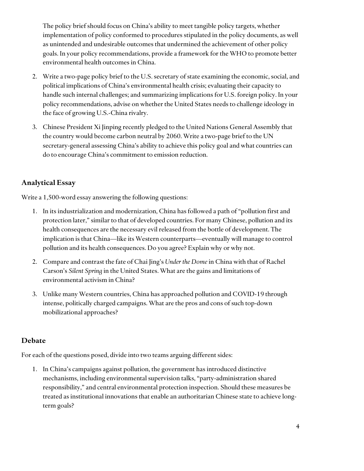The policy brief should focus on China's ability to meet tangible policy targets, whether implementation of policy conformed to procedures stipulated in the policy documents, as well as unintended and undesirable outcomes that undermined the achievement of other policy goals. In your policy recommendations, provide a framework for the WHO to promote better environmental health outcomes in China.

- 2. Write a two-page policy brief to the U.S. secretary of state examining the economic, social, and political implications of China's environmental health crisis; evaluating their capacity to handle such internal challenges; and summarizing implications for U.S. foreign policy. In your policy recommendations, advise on whether the United States needs to challenge ideology in the face of growing U.S.-China rivalry.
- 3. Chinese President Xi Jinping recently pledged to the United Nations General Assembly that the country would become carbon neutral by 2060. Write a two-page brief to the UN secretary-general assessing China's ability to achieve this policy goal and what countries can do to encourage China's commitment to emission reduction.

#### **Analytical Essay**

Write a 1,500-word essay answering the following questions:

- 1. In its industrialization and modernization, China has followed a path of "pollution first and protection later," similar to that of developed countries. For many Chinese, pollution and its health consequences are the necessary evil released from the bottle of development. The implication is that China—like its Western counterparts—eventually will manage to control pollution and its health consequences. Do you agree? Explain why or why not.
- 2. Compare and contrast the fate of Chai Jing's *Under the Dome* in China with that of Rachel Carson's *Silent Spring* in the United States. What are the gains and limitations of environmental activism in China?
- 3. Unlike many Western countries, China has approached pollution and COVID-19 through intense, politically charged campaigns. What are the pros and cons of such top-down mobilizational approaches?

#### **Debate**

For each of the questions posed, divide into two teams arguing different sides:

1. In China's campaigns against pollution, the government has introduced distinctive mechanisms, including environmental supervision talks, "party-administration shared responsibility," and central environmental protection inspection. Should these measures be treated as institutional innovations that enable an authoritarian Chinese state to achieve longterm goals?